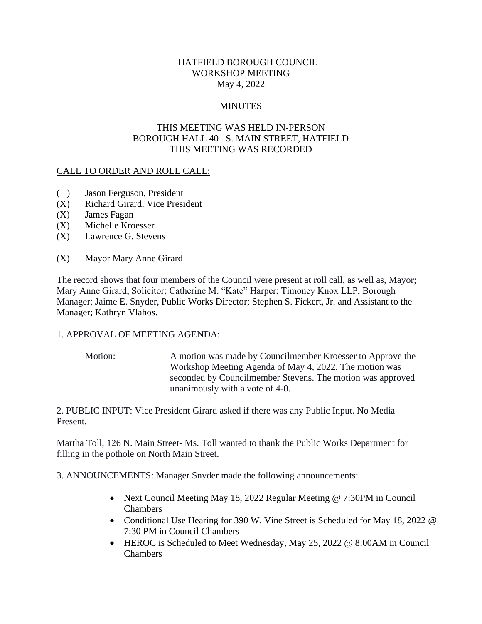## HATFIELD BOROUGH COUNCIL WORKSHOP MEETING May 4, 2022

# **MINUTES**

# THIS MEETING WAS HELD IN-PERSON BOROUGH HALL 401 S. MAIN STREET, HATFIELD THIS MEETING WAS RECORDED

## CALL TO ORDER AND ROLL CALL:

- ( ) Jason Ferguson, President
- (X) Richard Girard, Vice President
- (X) James Fagan
- (X) Michelle Kroesser
- (X) Lawrence G. Stevens
- (X) Mayor Mary Anne Girard

The record shows that four members of the Council were present at roll call, as well as, Mayor; Mary Anne Girard, Solicitor; Catherine M. "Kate" Harper; Timoney Knox LLP, Borough Manager; Jaime E. Snyder, Public Works Director; Stephen S. Fickert, Jr. and Assistant to the Manager; Kathryn Vlahos.

## 1. APPROVAL OF MEETING AGENDA:

Motion: A motion was made by Councilmember Kroesser to Approve the Workshop Meeting Agenda of May 4, 2022. The motion was seconded by Councilmember Stevens. The motion was approved unanimously with a vote of 4-0.

2. PUBLIC INPUT: Vice President Girard asked if there was any Public Input. No Media Present.

Martha Toll, 126 N. Main Street- Ms. Toll wanted to thank the Public Works Department for filling in the pothole on North Main Street.

3. ANNOUNCEMENTS: Manager Snyder made the following announcements:

- Next Council Meeting May 18, 2022 Regular Meeting @ 7:30PM in Council Chambers
- Conditional Use Hearing for 390 W. Vine Street is Scheduled for May 18, 2022 @ 7:30 PM in Council Chambers
- HEROC is Scheduled to Meet Wednesday, May 25, 2022 @ 8:00AM in Council **Chambers**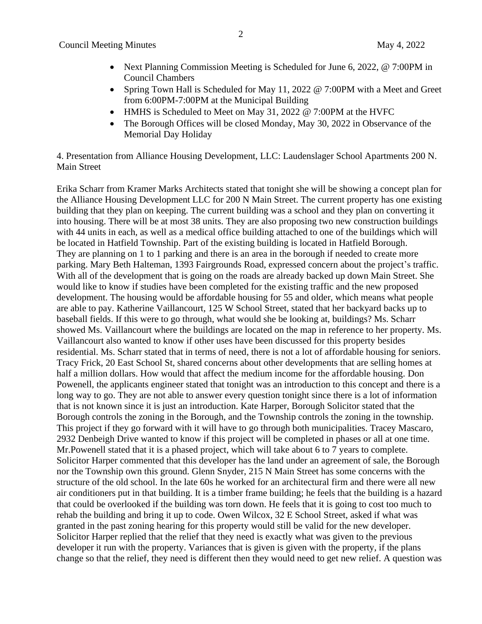- Next Planning Commission Meeting is Scheduled for June 6, 2022, @ 7:00PM in Council Chambers
- Spring Town Hall is Scheduled for May 11, 2022 @ 7:00PM with a Meet and Greet from 6:00PM-7:00PM at the Municipal Building
- HMHS is Scheduled to Meet on May 31, 2022 @ 7:00PM at the HVFC
- The Borough Offices will be closed Monday, May 30, 2022 in Observance of the Memorial Day Holiday

4. Presentation from Alliance Housing Development, LLC: Laudenslager School Apartments 200 N. Main Street

Erika Scharr from Kramer Marks Architects stated that tonight she will be showing a concept plan for the Alliance Housing Development LLC for 200 N Main Street. The current property has one existing building that they plan on keeping. The current building was a school and they plan on converting it into housing. There will be at most 38 units. They are also proposing two new construction buildings with 44 units in each, as well as a medical office building attached to one of the buildings which will be located in Hatfield Township. Part of the existing building is located in Hatfield Borough. They are planning on 1 to 1 parking and there is an area in the borough if needed to create more parking. Mary Beth Halteman, 1393 Fairgrounds Road, expressed concern about the project's traffic. With all of the development that is going on the roads are already backed up down Main Street. She would like to know if studies have been completed for the existing traffic and the new proposed development. The housing would be affordable housing for 55 and older, which means what people are able to pay. Katherine Vaillancourt, 125 W School Street, stated that her backyard backs up to baseball fields. If this were to go through, what would she be looking at, buildings? Ms. Scharr showed Ms. Vaillancourt where the buildings are located on the map in reference to her property. Ms. Vaillancourt also wanted to know if other uses have been discussed for this property besides residential. Ms. Scharr stated that in terms of need, there is not a lot of affordable housing for seniors. Tracy Frick, 20 East School St, shared concerns about other developments that are selling homes at half a million dollars. How would that affect the medium income for the affordable housing. Don Powenell, the applicants engineer stated that tonight was an introduction to this concept and there is a long way to go. They are not able to answer every question tonight since there is a lot of information that is not known since it is just an introduction. Kate Harper, Borough Solicitor stated that the Borough controls the zoning in the Borough, and the Township controls the zoning in the township. This project if they go forward with it will have to go through both municipalities. Tracey Mascaro, 2932 Denbeigh Drive wanted to know if this project will be completed in phases or all at one time. Mr.Powenell stated that it is a phased project, which will take about 6 to 7 years to complete. Solicitor Harper commented that this developer has the land under an agreement of sale, the Borough nor the Township own this ground. Glenn Snyder, 215 N Main Street has some concerns with the structure of the old school. In the late 60s he worked for an architectural firm and there were all new air conditioners put in that building. It is a timber frame building; he feels that the building is a hazard that could be overlooked if the building was torn down. He feels that it is going to cost too much to rehab the building and bring it up to code. Owen Wilcox, 32 E School Street, asked if what was granted in the past zoning hearing for this property would still be valid for the new developer. Solicitor Harper replied that the relief that they need is exactly what was given to the previous developer it run with the property. Variances that is given is given with the property, if the plans change so that the relief, they need is different then they would need to get new relief. A question was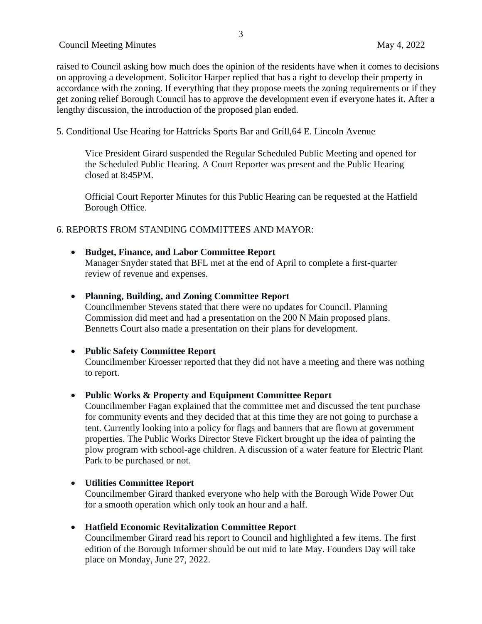raised to Council asking how much does the opinion of the residents have when it comes to decisions on approving a development. Solicitor Harper replied that has a right to develop their property in accordance with the zoning. If everything that they propose meets the zoning requirements or if they get zoning relief Borough Council has to approve the development even if everyone hates it. After a lengthy discussion, the introduction of the proposed plan ended.

5. Conditional Use Hearing for Hattricks Sports Bar and Grill,64 E. Lincoln Avenue

Vice President Girard suspended the Regular Scheduled Public Meeting and opened for the Scheduled Public Hearing. A Court Reporter was present and the Public Hearing closed at 8:45PM.

Official Court Reporter Minutes for this Public Hearing can be requested at the Hatfield Borough Office.

## 6. REPORTS FROM STANDING COMMITTEES AND MAYOR:

• **Budget, Finance, and Labor Committee Report** Manager Snyder stated that BFL met at the end of April to complete a first-quarter review of revenue and expenses.

## • **Planning, Building, and Zoning Committee Report**

Councilmember Stevens stated that there were no updates for Council. Planning Commission did meet and had a presentation on the 200 N Main proposed plans. Bennetts Court also made a presentation on their plans for development.

## • **Public Safety Committee Report**

Councilmember Kroesser reported that they did not have a meeting and there was nothing to report.

## • **Public Works & Property and Equipment Committee Report**

Councilmember Fagan explained that the committee met and discussed the tent purchase for community events and they decided that at this time they are not going to purchase a tent. Currently looking into a policy for flags and banners that are flown at government properties. The Public Works Director Steve Fickert brought up the idea of painting the plow program with school-age children. A discussion of a water feature for Electric Plant Park to be purchased or not.

## • **Utilities Committee Report**

Councilmember Girard thanked everyone who help with the Borough Wide Power Out for a smooth operation which only took an hour and a half.

## • **Hatfield Economic Revitalization Committee Report**

Councilmember Girard read his report to Council and highlighted a few items. The first edition of the Borough Informer should be out mid to late May. Founders Day will take place on Monday, June 27, 2022.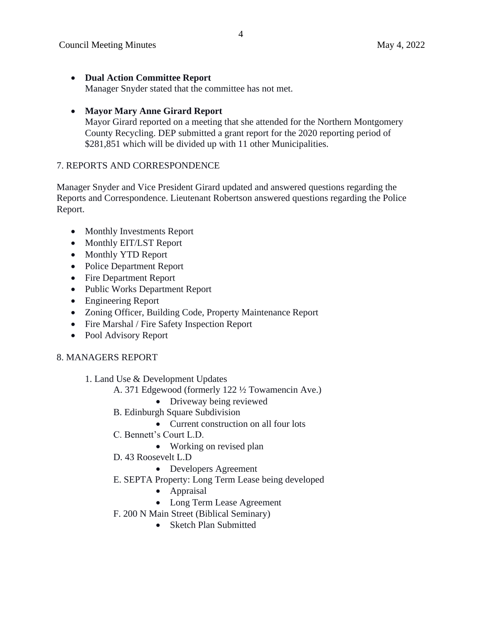- **Dual Action Committee Report** Manager Snyder stated that the committee has not met.
- **Mayor Mary Anne Girard Report**

Mayor Girard reported on a meeting that she attended for the Northern Montgomery County Recycling. DEP submitted a grant report for the 2020 reporting period of \$281,851 which will be divided up with 11 other Municipalities.

#### 7. REPORTS AND CORRESPONDENCE

Manager Snyder and Vice President Girard updated and answered questions regarding the Reports and Correspondence. Lieutenant Robertson answered questions regarding the Police Report.

- Monthly Investments Report
- Monthly EIT/LST Report
- Monthly YTD Report
- Police Department Report
- Fire Department Report
- Public Works Department Report
- Engineering Report
- Zoning Officer, Building Code, Property Maintenance Report
- Fire Marshal / Fire Safety Inspection Report
- Pool Advisory Report

## 8. MANAGERS REPORT

- 1. Land Use & Development Updates
	- A. 371 Edgewood (formerly 122 ½ Towamencin Ave.)
		- Driveway being reviewed
	- B. Edinburgh Square Subdivision
		- Current construction on all four lots
	- C. Bennett's Court L.D.
		- Working on revised plan
	- D. 43 Roosevelt L.D
		- Developers Agreement
	- E. SEPTA Property: Long Term Lease being developed
		- Appraisal
		- Long Term Lease Agreement
	- F. 200 N Main Street (Biblical Seminary)
		- Sketch Plan Submitted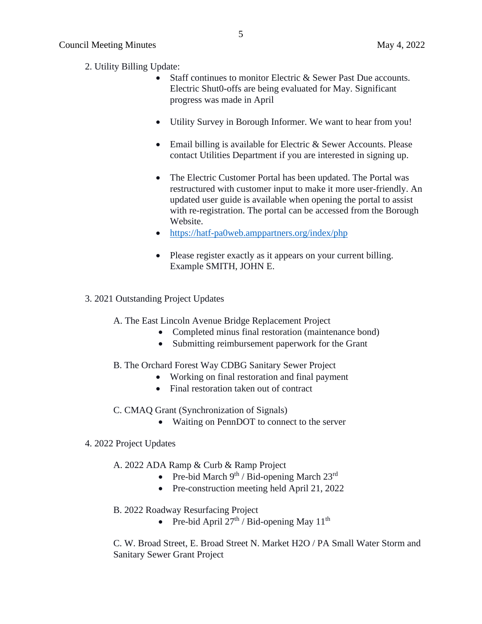- 2. Utility Billing Update:
	- Staff continues to monitor Electric & Sewer Past Due accounts. Electric Shut0-offs are being evaluated for May. Significant progress was made in April
	- Utility Survey in Borough Informer. We want to hear from you!
	- Email billing is available for Electric & Sewer Accounts. Please contact Utilities Department if you are interested in signing up.
	- The Electric Customer Portal has been updated. The Portal was restructured with customer input to make it more user-friendly. An updated user guide is available when opening the portal to assist with re-registration. The portal can be accessed from the Borough Website.
	- <https://hatf-pa0web.amppartners.org/index/php>
	- Please register exactly as it appears on your current billing. Example SMITH, JOHN E.
- 3. 2021 Outstanding Project Updates
	- A. The East Lincoln Avenue Bridge Replacement Project
		- Completed minus final restoration (maintenance bond)
		- Submitting reimbursement paperwork for the Grant
	- B. The Orchard Forest Way CDBG Sanitary Sewer Project
		- Working on final restoration and final payment
		- Final restoration taken out of contract
	- C. CMAQ Grant (Synchronization of Signals)
		- Waiting on PennDOT to connect to the server

#### 4. 2022 Project Updates

- A. 2022 ADA Ramp & Curb & Ramp Project
	- Pre-bid March  $9^{th}$  / Bid-opening March  $23^{rd}$
	- Pre-construction meeting held April 21, 2022
- B. 2022 Roadway Resurfacing Project
	- Pre-bid April  $27<sup>th</sup>$  / Bid-opening May  $11<sup>th</sup>$

C. W. Broad Street, E. Broad Street N. Market H2O / PA Small Water Storm and Sanitary Sewer Grant Project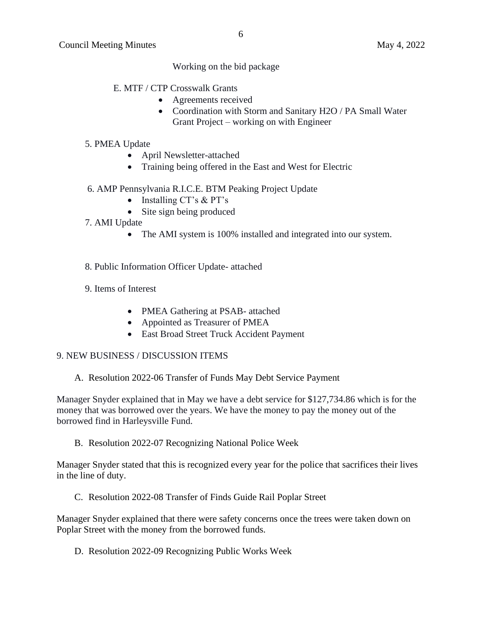Working on the bid package

- E. MTF / CTP Crosswalk Grants
	- Agreements received
	- Coordination with Storm and Sanitary H2O / PA Small Water Grant Project – working on with Engineer
- 5. PMEA Update
	- April Newsletter-attached
	- Training being offered in the East and West for Electric

#### 6. AMP Pennsylvania R.I.C.E. BTM Peaking Project Update

- Installing CT's & PT's
- Site sign being produced
- 7. AMI Update
	- The AMI system is 100% installed and integrated into our system.
- 8. Public Information Officer Update- attached
- 9. Items of Interest
	- PMEA Gathering at PSAB- attached
	- Appointed as Treasurer of PMEA
	- East Broad Street Truck Accident Payment

#### 9. NEW BUSINESS / DISCUSSION ITEMS

A. Resolution 2022-06 Transfer of Funds May Debt Service Payment

Manager Snyder explained that in May we have a debt service for \$127,734.86 which is for the money that was borrowed over the years. We have the money to pay the money out of the borrowed find in Harleysville Fund.

B. Resolution 2022-07 Recognizing National Police Week

Manager Snyder stated that this is recognized every year for the police that sacrifices their lives in the line of duty.

C. Resolution 2022-08 Transfer of Finds Guide Rail Poplar Street

Manager Snyder explained that there were safety concerns once the trees were taken down on Poplar Street with the money from the borrowed funds.

D. Resolution 2022-09 Recognizing Public Works Week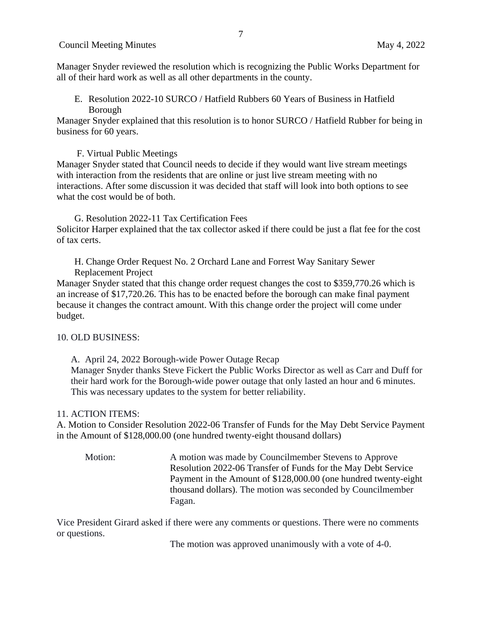Manager Snyder reviewed the resolution which is recognizing the Public Works Department for all of their hard work as well as all other departments in the county.

E. Resolution 2022-10 SURCO / Hatfield Rubbers 60 Years of Business in Hatfield Borough

Manager Snyder explained that this resolution is to honor SURCO / Hatfield Rubber for being in business for 60 years.

F. Virtual Public Meetings

Manager Snyder stated that Council needs to decide if they would want live stream meetings with interaction from the residents that are online or just live stream meeting with no interactions. After some discussion it was decided that staff will look into both options to see what the cost would be of both.

G. Resolution 2022-11 Tax Certification Fees Solicitor Harper explained that the tax collector asked if there could be just a flat fee for the cost of tax certs.

H. Change Order Request No. 2 Orchard Lane and Forrest Way Sanitary Sewer Replacement Project

Manager Snyder stated that this change order request changes the cost to \$359,770.26 which is an increase of \$17,720.26. This has to be enacted before the borough can make final payment because it changes the contract amount. With this change order the project will come under budget.

## 10. OLD BUSINESS:

A. April 24, 2022 Borough-wide Power Outage Recap Manager Snyder thanks Steve Fickert the Public Works Director as well as Carr and Duff for their hard work for the Borough-wide power outage that only lasted an hour and 6 minutes. This was necessary updates to the system for better reliability.

## 11. ACTION ITEMS:

A. Motion to Consider Resolution 2022-06 Transfer of Funds for the May Debt Service Payment in the Amount of \$128,000.00 (one hundred twenty-eight thousand dollars)

Motion: A motion was made by Councilmember Stevens to Approve Resolution 2022-06 Transfer of Funds for the May Debt Service Payment in the Amount of \$128,000.00 (one hundred twenty-eight thousand dollars). The motion was seconded by Councilmember Fagan.

Vice President Girard asked if there were any comments or questions. There were no comments or questions.

The motion was approved unanimously with a vote of 4-0.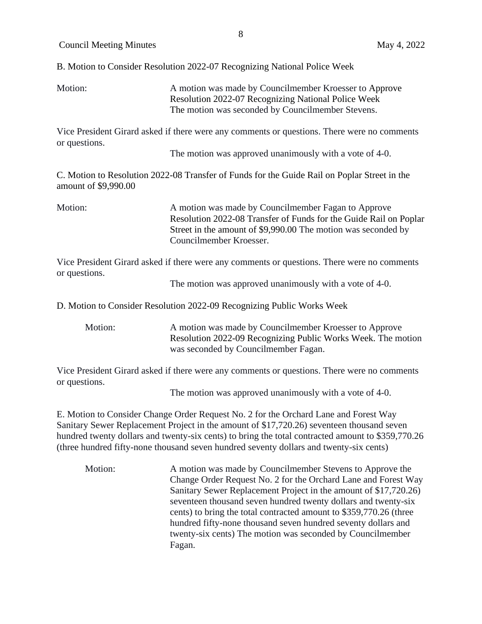B. Motion to Consider Resolution 2022-07 Recognizing National Police Week

Motion: A motion was made by Councilmember Kroesser to Approve Resolution 2022-07 Recognizing National Police Week The motion was seconded by Councilmember Stevens.

Vice President Girard asked if there were any comments or questions. There were no comments or questions.

The motion was approved unanimously with a vote of 4-0.

C. Motion to Resolution 2022-08 Transfer of Funds for the Guide Rail on Poplar Street in the amount of \$9,990.00

Motion: A motion was made by Councilmember Fagan to Approve Resolution 2022-08 Transfer of Funds for the Guide Rail on Poplar Street in the amount of \$9,990.00 The motion was seconded by Councilmember Kroesser.

Vice President Girard asked if there were any comments or questions. There were no comments or questions.

The motion was approved unanimously with a vote of 4-0.

D. Motion to Consider Resolution 2022-09 Recognizing Public Works Week

Motion: A motion was made by Councilmember Kroesser to Approve Resolution 2022-09 Recognizing Public Works Week. The motion was seconded by Councilmember Fagan.

Vice President Girard asked if there were any comments or questions. There were no comments or questions.

The motion was approved unanimously with a vote of 4-0.

E. Motion to Consider Change Order Request No. 2 for the Orchard Lane and Forest Way Sanitary Sewer Replacement Project in the amount of \$17,720.26) seventeen thousand seven hundred twenty dollars and twenty-six cents) to bring the total contracted amount to \$359,770.26 (three hundred fifty-none thousand seven hundred seventy dollars and twenty-six cents)

Motion: A motion was made by Councilmember Stevens to Approve the Change Order Request No. 2 for the Orchard Lane and Forest Way Sanitary Sewer Replacement Project in the amount of \$17,720.26) seventeen thousand seven hundred twenty dollars and twenty-six cents) to bring the total contracted amount to \$359,770.26 (three hundred fifty-none thousand seven hundred seventy dollars and twenty-six cents) The motion was seconded by Councilmember Fagan.